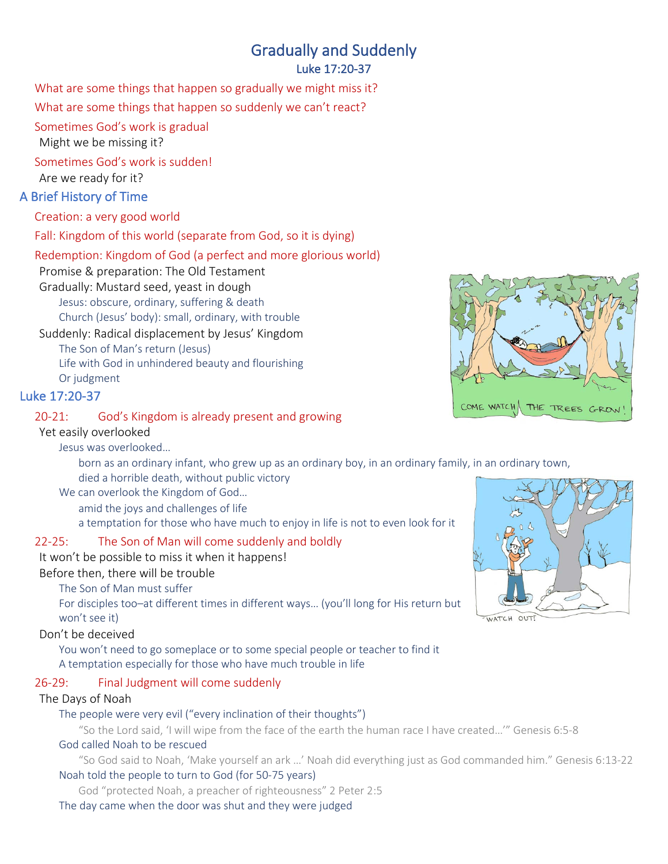# Gradually and Suddenly

## Luke 17:20-37

What are some things that happen so gradually we might miss it?

What are some things that happen so suddenly we can't react?

Sometimes God's work is gradual

Might we be missing it?

Sometimes God's work is sudden!

Are we ready for it?

# A Brief History of Time

Creation: a very good world

Fall: Kingdom of this world (separate from God, so it is dying)

# Redemption: Kingdom of God (a perfect and more glorious world)

Promise & preparation: The Old Testament

Gradually: Mustard seed, yeast in dough Jesus: obscure, ordinary, suffering & death Church (Jesus' body): small, ordinary, with trouble

Suddenly: Radical displacement by Jesus' Kingdom The Son of Man's return (Jesus) Life with God in unhindered beauty and flourishing Or judgment

# Luke 17:20-37

# 20-21: God's Kingdom is already present and growing

Yet easily overlooked

Jesus was overlooked…

born as an ordinary infant, who grew up as an ordinary boy, in an ordinary family, in an ordinary town, died a horrible death, without public victory

We can overlook the Kingdom of God…

amid the joys and challenges of life

a temptation for those who have much to enjoy in life is not to even look for it

# 22-25: The Son of Man will come suddenly and boldly

## It won't be possible to miss it when it happens!

Before then, there will be trouble

The Son of Man must suffer

For disciples too–at different times in different ways… (you'll long for His return but won't see it)

Don't be deceived

You won't need to go someplace or to some special people or teacher to find it A temptation especially for those who have much trouble in life

# 26-29: Final Judgment will come suddenly

## The Days of Noah

The people were very evil ("every inclination of their thoughts")

"So the Lord said, 'I will wipe from the face of the earth the human race I have created…'" Genesis 6:5-8

## God called Noah to be rescued

"So God said to Noah, 'Make yourself an ark …' Noah did everything just as God commanded him." Genesis 6:13-22 Noah told the people to turn to God (for 50-75 years)

God "protected Noah, a preacher of righteousness" 2 Peter 2:5

# The day came when the door was shut and they were judged





WATCH OUT!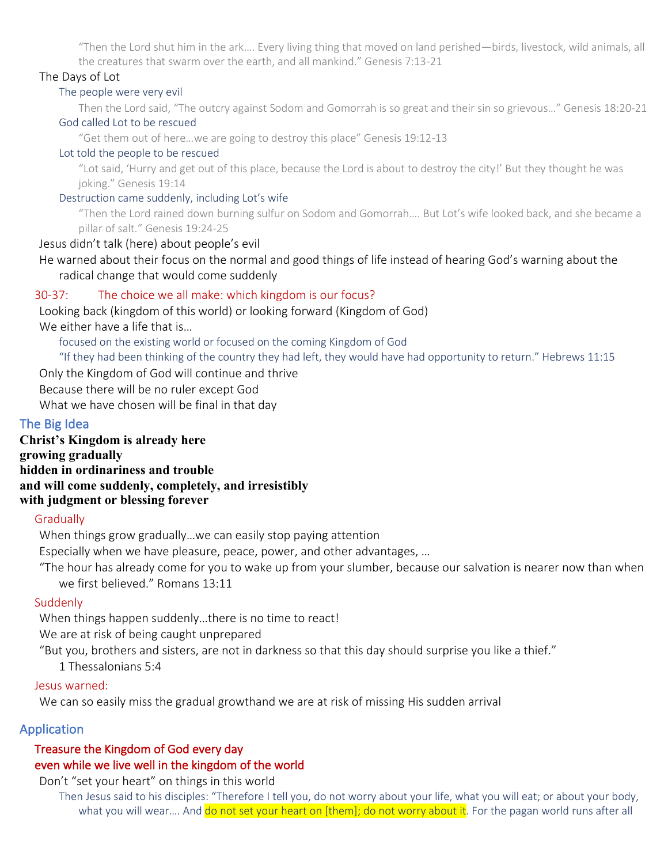"Then the Lord shut him in the ark…. Every living thing that moved on land perished—birds, livestock, wild animals, all the creatures that swarm over the earth, and all mankind." Genesis 7:13-21

#### The Days of Lot

#### The people were very evil

Then the Lord said, "The outcry against Sodom and Gomorrah is so great and their sin so grievous…" Genesis 18:20-21 God called Lot to be rescued

"Get them out of here…we are going to destroy this place" Genesis 19:12-13

#### Lot told the people to be rescued

"Lot said, 'Hurry and get out of this place, because the Lord is about to destroy the city!' But they thought he was joking." Genesis 19:14

Destruction came suddenly, including Lot's wife

"Then the Lord rained down burning sulfur on Sodom and Gomorrah…. But Lot's wife looked back, and she became a pillar of salt." Genesis 19:24-25

#### Jesus didn't talk (here) about people's evil

He warned about their focus on the normal and good things of life instead of hearing God's warning about the radical change that would come suddenly

# 30-37: The choice we all make: which kingdom is our focus?

Looking back (kingdom of this world) or looking forward (Kingdom of God)

We either have a life that is…

focused on the existing world or focused on the coming Kingdom of God

"If they had been thinking of the country they had left, they would have had opportunity to return." Hebrews 11:15

Only the Kingdom of God will continue and thrive

Because there will be no ruler except God

What we have chosen will be final in that day

# The Big Idea

**Christ's Kingdom is already here growing gradually hidden in ordinariness and trouble and will come suddenly, completely, and irresistibly with judgment or blessing forever**

## **Gradually**

When things grow gradually…we can easily stop paying attention

Especially when we have pleasure, peace, power, and other advantages, …

"The hour has already come for you to wake up from your slumber, because our salvation is nearer now than when we first believed." Romans 13:11

## Suddenly

When things happen suddenly…there is no time to react!

We are at risk of being caught unprepared

"But you, brothers and sisters, are not in darkness so that this day should surprise you like a thief."

1 Thessalonians 5:4

## Jesus warned:

We can so easily miss the gradual growthand we are at risk of missing His sudden arrival

# Application

#### Treasure the Kingdom of God every day even while we live well in the kingdom of the world

Don't "set your heart" on things in this world

Then Jesus said to his disciples: "Therefore I tell you, do not worry about your life, what you will eat; or about your body, what you will wear.... And do not set your heart on [them]; do not worry about it. For the pagan world runs after all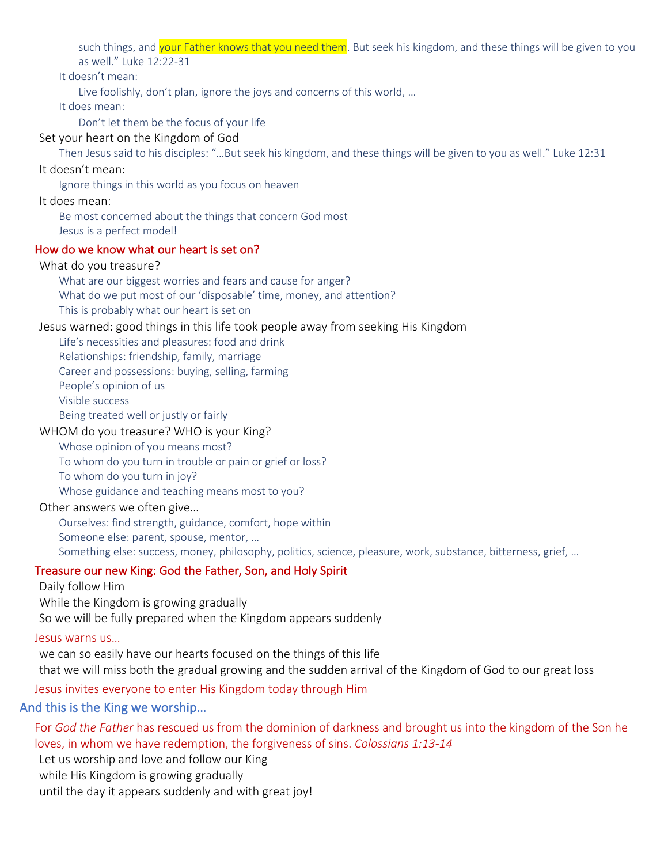such things, and your Father knows that you need them. But seek his kingdom, and these things will be given to you as well." Luke 12:22-31

It doesn't mean:

Live foolishly, don't plan, ignore the joys and concerns of this world, …

It does mean:

Don't let them be the focus of your life

Set your heart on the Kingdom of God

Then Jesus said to his disciples: "…But seek his kingdom, and these things will be given to you as well." Luke 12:31

#### It doesn't mean:

Ignore things in this world as you focus on heaven

It does mean:

Be most concerned about the things that concern God most

Jesus is a perfect model!

#### How do we know what our heart is set on?

#### What do you treasure?

What are our biggest worries and fears and cause for anger?

What do we put most of our 'disposable' time, money, and attention?

This is probably what our heart is set on

#### Jesus warned: good things in this life took people away from seeking His Kingdom

Life's necessities and pleasures: food and drink

Relationships: friendship, family, marriage

Career and possessions: buying, selling, farming

People's opinion of us

Visible success

Being treated well or justly or fairly

#### WHOM do you treasure? WHO is your King?

Whose opinion of you means most?

To whom do you turn in trouble or pain or grief or loss?

To whom do you turn in joy?

Whose guidance and teaching means most to you?

Other answers we often give…

Ourselves: find strength, guidance, comfort, hope within Someone else: parent, spouse, mentor, …

Something else: success, money, philosophy, politics, science, pleasure, work, substance, bitterness, grief, …

#### Treasure our new King: God the Father, Son, and Holy Spirit

Daily follow Him

While the Kingdom is growing gradually

So we will be fully prepared when the Kingdom appears suddenly

#### Jesus warns us…

we can so easily have our hearts focused on the things of this life that we will miss both the gradual growing and the sudden arrival of the Kingdom of God to our great loss

#### Jesus invites everyone to enter His Kingdom today through Him

#### And this is the King we worship…

For *God the Father* has rescued us from the dominion of darkness and brought us into the kingdom of the Son he loves, in whom we have redemption, the forgiveness of sins. *Colossians 1:13-14*

Let us worship and love and follow our King

while His Kingdom is growing gradually

until the day it appears suddenly and with great joy!